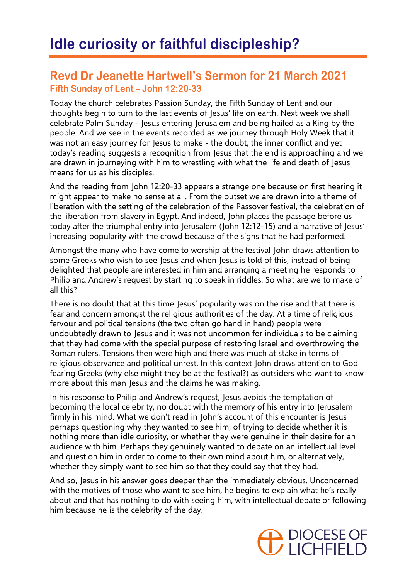## **Revd Dr Jeanette Hartwell's Sermon for 21 March 2021 Fifth Sunday of Lent – John 12:20-33**

Today the church celebrates Passion Sunday, the Fifth Sunday of Lent and our thoughts begin to turn to the last events of Jesus' life on earth. Next week we shall celebrate Palm Sunday - Jesus entering Jerusalem and being hailed as a King by the people. And we see in the events recorded as we journey through Holy Week that it was not an easy journey for Jesus to make - the doubt, the inner conflict and yet today's reading suggests a recognition from Jesus that the end is approaching and we are drawn in journeying with him to wrestling with what the life and death of Jesus means for us as his disciples.

And the reading from John 12:20-33 appears a strange one because on first hearing it might appear to make no sense at all. From the outset we are drawn into a theme of liberation with the setting of the celebration of the Passover festival, the celebration of the liberation from slavery in Egypt. And indeed, John places the passage before us today after the triumphal entry into Jerusalem (John 12:12-15) and a narrative of Jesus' increasing popularity with the crowd because of the signs that he had performed.

Amongst the many who have come to worship at the festival John draws attention to some Greeks who wish to see Jesus and when Jesus is told of this, instead of being delighted that people are interested in him and arranging a meeting he responds to Philip and Andrew's request by starting to speak in riddles. So what are we to make of all this?

There is no doubt that at this time Jesus' popularity was on the rise and that there is fear and concern amongst the religious authorities of the day. At a time of religious fervour and political tensions (the two often go hand in hand) people were undoubtedly drawn to Jesus and it was not uncommon for individuals to be claiming that they had come with the special purpose of restoring Israel and overthrowing the Roman rulers. Tensions then were high and there was much at stake in terms of religious observance and political unrest. In this context John draws attention to God fearing Greeks (why else might they be at the festival?) as outsiders who want to know more about this man Jesus and the claims he was making.

In his response to Philip and Andrew's request, Jesus avoids the temptation of becoming the local celebrity, no doubt with the memory of his entry into Jerusalem firmly in his mind. What we don't read in John's account of this encounter is Jesus perhaps questioning why they wanted to see him, of trying to decide whether it is nothing more than idle curiosity, or whether they were genuine in their desire for an audience with him. Perhaps they genuinely wanted to debate on an intellectual level and question him in order to come to their own mind about him, or alternatively, whether they simply want to see him so that they could say that they had.

And so, Jesus in his answer goes deeper than the immediately obvious. Unconcerned with the motives of those who want to see him, he begins to explain what he's really about and that has nothing to do with seeing him, with intellectual debate or following him because he is the celebrity of the day.

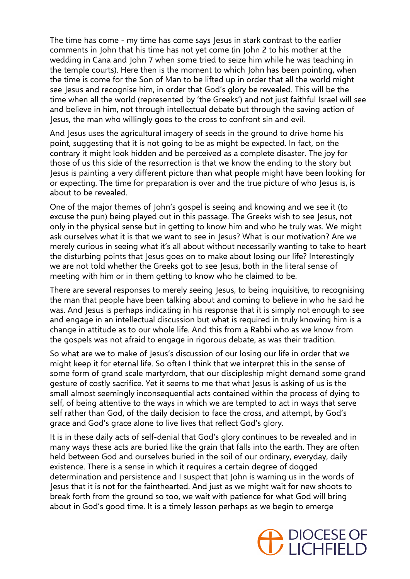The time has come - my time has come says Jesus in stark contrast to the earlier comments in John that his time has not yet come (in John 2 to his mother at the wedding in Cana and John 7 when some tried to seize him while he was teaching in the temple courts). Here then is the moment to which John has been pointing, when the time is come for the Son of Man to be lifted up in order that all the world might see Jesus and recognise him, in order that God's glory be revealed. This will be the time when all the world (represented by 'the Greeks') and not just faithful Israel will see and believe in him, not through intellectual debate but through the saving action of Jesus, the man who willingly goes to the cross to confront sin and evil.

And Jesus uses the agricultural imagery of seeds in the ground to drive home his point, suggesting that it is not going to be as might be expected. In fact, on the contrary it might look hidden and be perceived as a complete disaster. The joy for those of us this side of the resurrection is that we know the ending to the story but Jesus is painting a very different picture than what people might have been looking for or expecting. The time for preparation is over and the true picture of who Jesus is, is about to be revealed.

One of the major themes of John's gospel is seeing and knowing and we see it (to excuse the pun) being played out in this passage. The Greeks wish to see Jesus, not only in the physical sense but in getting to know him and who he truly was. We might ask ourselves what it is that we want to see in Jesus? What is our motivation? Are we merely curious in seeing what it's all about without necessarily wanting to take to heart the disturbing points that Jesus goes on to make about losing our life? Interestingly we are not told whether the Greeks got to see Jesus, both in the literal sense of meeting with him or in them getting to know who he claimed to be.

There are several responses to merely seeing Jesus, to being inquisitive, to recognising the man that people have been talking about and coming to believe in who he said he was. And Jesus is perhaps indicating in his response that it is simply not enough to see and engage in an intellectual discussion but what is required in truly knowing him is a change in attitude as to our whole life. And this from a Rabbi who as we know from the gospels was not afraid to engage in rigorous debate, as was their tradition.

So what are we to make of Jesus's discussion of our losing our life in order that we might keep it for eternal life. So often I think that we interpret this in the sense of some form of grand scale martyrdom, that our discipleship might demand some grand gesture of costly sacrifice. Yet it seems to me that what Jesus is asking of us is the small almost seemingly inconsequential acts contained within the process of dying to self, of being attentive to the ways in which we are tempted to act in ways that serve self rather than God, of the daily decision to face the cross, and attempt, by God's grace and God's grace alone to live lives that reflect God's glory.

It is in these daily acts of self-denial that God's glory continues to be revealed and in many ways these acts are buried like the grain that falls into the earth. They are often held between God and ourselves buried in the soil of our ordinary, everyday, daily existence. There is a sense in which it requires a certain degree of dogged determination and persistence and I suspect that John is warning us in the words of Jesus that it is not for the fainthearted. And just as we might wait for new shoots to break forth from the ground so too, we wait with patience for what God will bring about in God's good time. It is a timely lesson perhaps as we begin to emerge